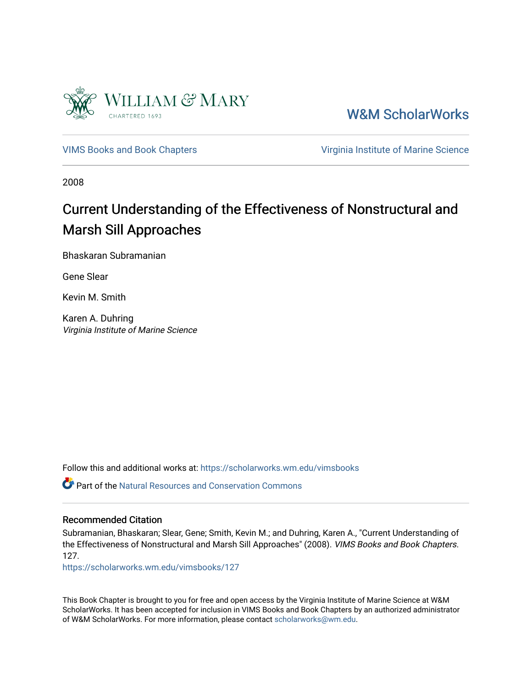

[W&M ScholarWorks](https://scholarworks.wm.edu/) 

[VIMS Books and Book Chapters](https://scholarworks.wm.edu/vimsbooks) **Vice 2018** Virginia Institute of Marine Science

2008

# Current Understanding of the Effectiveness of Nonstructural and Marsh Sill Approaches

Bhaskaran Subramanian

Gene Slear

Kevin M. Smith

Karen A. Duhring Virginia Institute of Marine Science

Follow this and additional works at: [https://scholarworks.wm.edu/vimsbooks](https://scholarworks.wm.edu/vimsbooks?utm_source=scholarworks.wm.edu%2Fvimsbooks%2F127&utm_medium=PDF&utm_campaign=PDFCoverPages) 

 $\bullet$  Part of the Natural Resources and Conservation Commons

#### Recommended Citation

Subramanian, Bhaskaran; Slear, Gene; Smith, Kevin M.; and Duhring, Karen A., "Current Understanding of the Effectiveness of Nonstructural and Marsh Sill Approaches" (2008). VIMS Books and Book Chapters. 127.

[https://scholarworks.wm.edu/vimsbooks/127](https://scholarworks.wm.edu/vimsbooks/127?utm_source=scholarworks.wm.edu%2Fvimsbooks%2F127&utm_medium=PDF&utm_campaign=PDFCoverPages) 

This Book Chapter is brought to you for free and open access by the Virginia Institute of Marine Science at W&M ScholarWorks. It has been accepted for inclusion in VIMS Books and Book Chapters by an authorized administrator of W&M ScholarWorks. For more information, please contact [scholarworks@wm.edu.](mailto:scholarworks@wm.edu)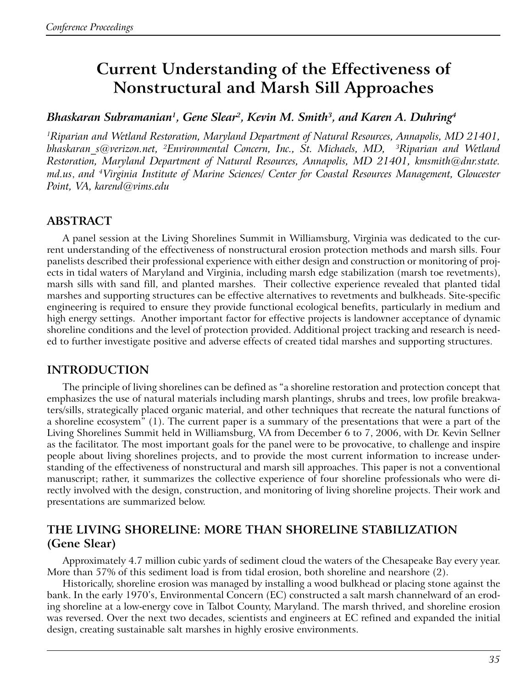# **Current Understanding of the Effectiveness of Nonstructural and Marsh Sill Approaches**

#### *Bhaskaran Subramanian1, Gene Slear2, Kevin M. Smith3, and Karen A. Duhring4*

*1Riparian and Wetland Restoration, Maryland Department of Natural Resources, Annapolis, MD 21401, bhaskaran\_s@verizon.net, 2Environmental Concern, Inc., St. Michaels, MD, 3Riparian and Wetland Restoration, Maryland Department of Natural Resources, Annapolis, MD 21401, kmsmith@dnr.state. md.us*, *and 4Virginia Institute of Marine Sciences/ Center for Coastal Resources Management, Gloucester Point, VA, karend@vims.edu*

# **ABSTRACT**

A panel session at the Living Shorelines Summit in Williamsburg, Virginia was dedicated to the current understanding of the effectiveness of nonstructural erosion protection methods and marsh sills. Four panelists described their professional experience with either design and construction or monitoring of projects in tidal waters of Maryland and Virginia, including marsh edge stabilization (marsh toe revetments), marsh sills with sand fill, and planted marshes. Their collective experience revealed that planted tidal marshes and supporting structures can be effective alternatives to revetments and bulkheads. Site-specific engineering is required to ensure they provide functional ecological benefits, particularly in medium and high energy settings. Another important factor for effective projects is landowner acceptance of dynamic shoreline conditions and the level of protection provided. Additional project tracking and research is needed to further investigate positive and adverse effects of created tidal marshes and supporting structures.

## **INTRODUCTION**

The principle of living shorelines can be defined as "a shoreline restoration and protection concept that emphasizes the use of natural materials including marsh plantings, shrubs and trees, low profile breakwaters/sills, strategically placed organic material, and other techniques that recreate the natural functions of a shoreline ecosystem" (1). The current paper is a summary of the presentations that were a part of the Living Shorelines Summit held in Williamsburg, VA from December 6 to 7, 2006, with Dr. Kevin Sellner as the facilitator. The most important goals for the panel were to be provocative, to challenge and inspire people about living shorelines projects, and to provide the most current information to increase understanding of the effectiveness of nonstructural and marsh sill approaches. This paper is not a conventional manuscript; rather, it summarizes the collective experience of four shoreline professionals who were directly involved with the design, construction, and monitoring of living shoreline projects. Their work and presentations are summarized below.

# **THE LIVING SHORELINE: MORE THAN SHORELINE STABILIZATION (Gene Slear)**

Approximately 4.7 million cubic yards of sediment cloud the waters of the Chesapeake Bay every year. More than 57% of this sediment load is from tidal erosion, both shoreline and nearshore (2).

Historically, shoreline erosion was managed by installing a wood bulkhead or placing stone against the bank. In the early 1970's, Environmental Concern (EC) constructed a salt marsh channelward of an eroding shoreline at a low-energy cove in Talbot County, Maryland. The marsh thrived, and shoreline erosion was reversed. Over the next two decades, scientists and engineers at EC refined and expanded the initial design, creating sustainable salt marshes in highly erosive environments.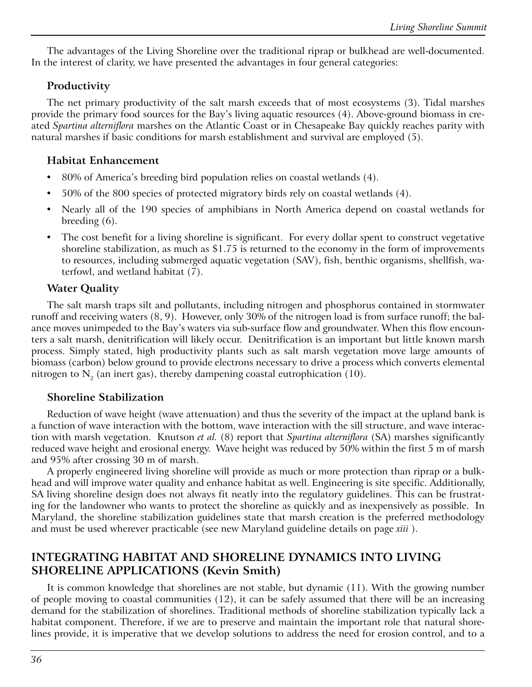The advantages of the Living Shoreline over the traditional riprap or bulkhead are well-documented. In the interest of clarity, we have presented the advantages in four general categories:

#### **Productivity**

The net primary productivity of the salt marsh exceeds that of most ecosystems (3). Tidal marshes provide the primary food sources for the Bay's living aquatic resources (4). Above-ground biomass in created *Spartina alterniflora* marshes on the Atlantic Coast or in Chesapeake Bay quickly reaches parity with natural marshes if basic conditions for marsh establishment and survival are employed (5).

#### **Habitat Enhancement**

- 80% of America's breeding bird population relies on coastal wetlands (4).
- 50% of the 800 species of protected migratory birds rely on coastal wetlands (4).
- Nearly all of the 190 species of amphibians in North America depend on coastal wetlands for breeding (6).
- The cost benefit for a living shoreline is significant. For every dollar spent to construct vegetative shoreline stabilization, as much as \$1.75 is returned to the economy in the form of improvements to resources, including submerged aquatic vegetation (SAV), fish, benthic organisms, shellfish, waterfowl, and wetland habitat (7).

#### **Water Quality**

The salt marsh traps silt and pollutants, including nitrogen and phosphorus contained in stormwater runoff and receiving waters (8, 9). However, only 30% of the nitrogen load is from surface runoff; the balance moves unimpeded to the Bay's waters via sub-surface flow and groundwater. When this flow encounters a salt marsh, denitrification will likely occur. Denitrification is an important but little known marsh process. Simply stated, high productivity plants such as salt marsh vegetation move large amounts of biomass (carbon) below ground to provide electrons necessary to drive a process which converts elemental nitrogen to  $N<sub>2</sub>$  (an inert gas), thereby dampening coastal eutrophication (10).

#### **Shoreline Stabilization**

Reduction of wave height (wave attenuation) and thus the severity of the impact at the upland bank is a function of wave interaction with the bottom, wave interaction with the sill structure, and wave interaction with marsh vegetation. Knutson *et al.* (8) report that *Spartina alterniflora* (SA) marshes significantly reduced wave height and erosional energy. Wave height was reduced by 50% within the first 5 m of marsh and 95% after crossing 30 m of marsh.

A properly engineered living shoreline will provide as much or more protection than riprap or a bulkhead and will improve water quality and enhance habitat as well. Engineering is site specific. Additionally, SA living shoreline design does not always fit neatly into the regulatory guidelines. This can be frustrating for the landowner who wants to protect the shoreline as quickly and as inexpensively as possible. In Maryland, the shoreline stabilization guidelines state that marsh creation is the preferred methodology and must be used wherever practicable (see new Maryland guideline details on page *xiii* ).

# **INTEGRATING HABITAT AND SHORELINE DYNAMICS INTO LIVING SHORELINE APPLICATIONS (Kevin Smith)**

It is common knowledge that shorelines are not stable, but dynamic (11). With the growing number of people moving to coastal communities (12), it can be safely assumed that there will be an increasing demand for the stabilization of shorelines. Traditional methods of shoreline stabilization typically lack a habitat component. Therefore, if we are to preserve and maintain the important role that natural shorelines provide, it is imperative that we develop solutions to address the need for erosion control, and to a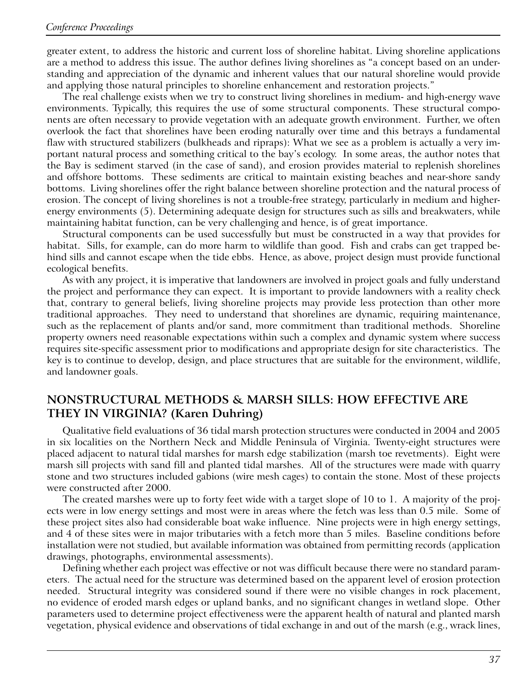greater extent, to address the historic and current loss of shoreline habitat. Living shoreline applications are a method to address this issue. The author defines living shorelines as "a concept based on an understanding and appreciation of the dynamic and inherent values that our natural shoreline would provide and applying those natural principles to shoreline enhancement and restoration projects."

The real challenge exists when we try to construct living shorelines in medium- and high-energy wave environments. Typically, this requires the use of some structural components. These structural components are often necessary to provide vegetation with an adequate growth environment. Further, we often overlook the fact that shorelines have been eroding naturally over time and this betrays a fundamental flaw with structured stabilizers (bulkheads and ripraps): What we see as a problem is actually a very important natural process and something critical to the bay's ecology. In some areas, the author notes that the Bay is sediment starved (in the case of sand), and erosion provides material to replenish shorelines and offshore bottoms. These sediments are critical to maintain existing beaches and near-shore sandy bottoms. Living shorelines offer the right balance between shoreline protection and the natural process of erosion. The concept of living shorelines is not a trouble-free strategy, particularly in medium and higherenergy environments (5). Determining adequate design for structures such as sills and breakwaters, while maintaining habitat function, can be very challenging and hence, is of great importance.

Structural components can be used successfully but must be constructed in a way that provides for habitat. Sills, for example, can do more harm to wildlife than good. Fish and crabs can get trapped behind sills and cannot escape when the tide ebbs. Hence, as above, project design must provide functional ecological benefits.

As with any project, it is imperative that landowners are involved in project goals and fully understand the project and performance they can expect. It is important to provide landowners with a reality check that, contrary to general beliefs, living shoreline projects may provide less protection than other more traditional approaches. They need to understand that shorelines are dynamic, requiring maintenance, such as the replacement of plants and/or sand, more commitment than traditional methods. Shoreline property owners need reasonable expectations within such a complex and dynamic system where success requires site-specific assessment prior to modifications and appropriate design for site characteristics. The key is to continue to develop, design, and place structures that are suitable for the environment, wildlife, and landowner goals.

## **NONSTRUCTURAL METHODS & MARSH SILLS: HOW EFFECTIVE ARE THEY IN VIRGINIA? (Karen Duhring)**

Qualitative field evaluations of 36 tidal marsh protection structures were conducted in 2004 and 2005 in six localities on the Northern Neck and Middle Peninsula of Virginia. Twenty-eight structures were placed adjacent to natural tidal marshes for marsh edge stabilization (marsh toe revetments). Eight were marsh sill projects with sand fill and planted tidal marshes. All of the structures were made with quarry stone and two structures included gabions (wire mesh cages) to contain the stone. Most of these projects were constructed after 2000.

The created marshes were up to forty feet wide with a target slope of 10 to 1. A majority of the projects were in low energy settings and most were in areas where the fetch was less than 0.5 mile. Some of these project sites also had considerable boat wake influence. Nine projects were in high energy settings, and 4 of these sites were in major tributaries with a fetch more than 5 miles. Baseline conditions before installation were not studied, but available information was obtained from permitting records (application drawings, photographs, environmental assessments).

Defining whether each project was effective or not was difficult because there were no standard parameters. The actual need for the structure was determined based on the apparent level of erosion protection needed. Structural integrity was considered sound if there were no visible changes in rock placement, no evidence of eroded marsh edges or upland banks, and no significant changes in wetland slope. Other parameters used to determine project effectiveness were the apparent health of natural and planted marsh vegetation, physical evidence and observations of tidal exchange in and out of the marsh (e.g., wrack lines,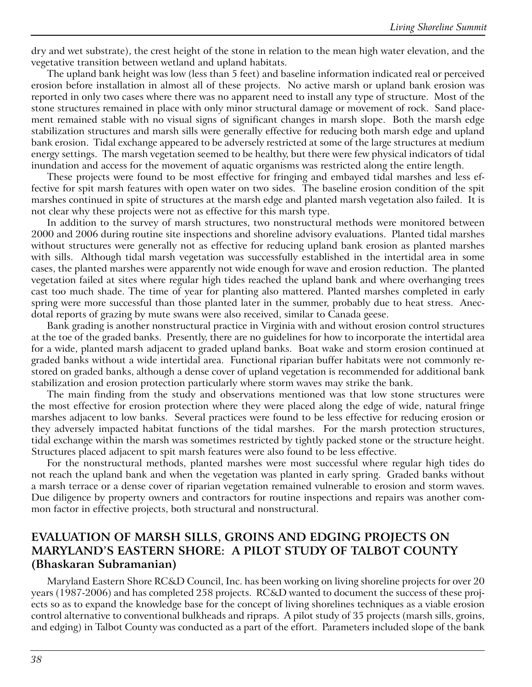dry and wet substrate), the crest height of the stone in relation to the mean high water elevation, and the vegetative transition between wetland and upland habitats.

The upland bank height was low (less than 5 feet) and baseline information indicated real or perceived erosion before installation in almost all of these projects. No active marsh or upland bank erosion was reported in only two cases where there was no apparent need to install any type of structure. Most of the stone structures remained in place with only minor structural damage or movement of rock. Sand placement remained stable with no visual signs of significant changes in marsh slope. Both the marsh edge stabilization structures and marsh sills were generally effective for reducing both marsh edge and upland bank erosion. Tidal exchange appeared to be adversely restricted at some of the large structures at medium energy settings. The marsh vegetation seemed to be healthy, but there were few physical indicators of tidal inundation and access for the movement of aquatic organisms was restricted along the entire length.

These projects were found to be most effective for fringing and embayed tidal marshes and less effective for spit marsh features with open water on two sides. The baseline erosion condition of the spit marshes continued in spite of structures at the marsh edge and planted marsh vegetation also failed. It is not clear why these projects were not as effective for this marsh type.

In addition to the survey of marsh structures, two nonstructural methods were monitored between 2000 and 2006 during routine site inspections and shoreline advisory evaluations. Planted tidal marshes without structures were generally not as effective for reducing upland bank erosion as planted marshes with sills. Although tidal marsh vegetation was successfully established in the intertidal area in some cases, the planted marshes were apparently not wide enough for wave and erosion reduction. The planted vegetation failed at sites where regular high tides reached the upland bank and where overhanging trees cast too much shade. The time of year for planting also mattered. Planted marshes completed in early spring were more successful than those planted later in the summer, probably due to heat stress. Anecdotal reports of grazing by mute swans were also received, similar to Canada geese.

Bank grading is another nonstructural practice in Virginia with and without erosion control structures at the toe of the graded banks. Presently, there are no guidelines for how to incorporate the intertidal area for a wide, planted marsh adjacent to graded upland banks. Boat wake and storm erosion continued at graded banks without a wide intertidal area. Functional riparian buffer habitats were not commonly restored on graded banks, although a dense cover of upland vegetation is recommended for additional bank stabilization and erosion protection particularly where storm waves may strike the bank.

The main finding from the study and observations mentioned was that low stone structures were the most effective for erosion protection where they were placed along the edge of wide, natural fringe marshes adjacent to low banks. Several practices were found to be less effective for reducing erosion or they adversely impacted habitat functions of the tidal marshes. For the marsh protection structures, tidal exchange within the marsh was sometimes restricted by tightly packed stone or the structure height. Structures placed adjacent to spit marsh features were also found to be less effective.

For the nonstructural methods, planted marshes were most successful where regular high tides do not reach the upland bank and when the vegetation was planted in early spring. Graded banks without a marsh terrace or a dense cover of riparian vegetation remained vulnerable to erosion and storm waves. Due diligence by property owners and contractors for routine inspections and repairs was another common factor in effective projects, both structural and nonstructural.

### **EVALUATION OF MARSH SILLS, GROINS AND EDGING PROJECTS ON MARYLAND'S EASTERN SHORE: A PILOT STUDY OF TALBOT COUNTY (Bhaskaran Subramanian)**

Maryland Eastern Shore RC&D Council, Inc. has been working on living shoreline projects for over 20 years (1987-2006) and has completed 258 projects. RC&D wanted to document the success of these projects so as to expand the knowledge base for the concept of living shorelines techniques as a viable erosion control alternative to conventional bulkheads and ripraps. A pilot study of 35 projects (marsh sills, groins, and edging) in Talbot County was conducted as a part of the effort. Parameters included slope of the bank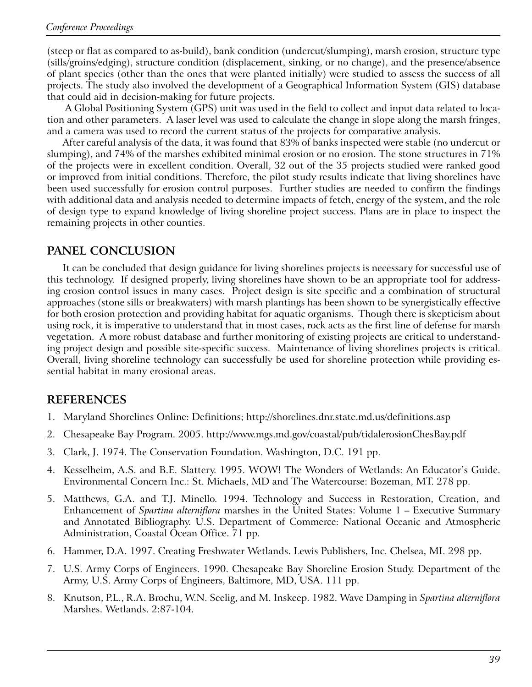(steep or flat as compared to as-build), bank condition (undercut/slumping), marsh erosion, structure type (sills/groins/edging), structure condition (displacement, sinking, or no change), and the presence/absence of plant species (other than the ones that were planted initially) were studied to assess the success of all projects. The study also involved the development of a Geographical Information System (GIS) database that could aid in decision-making for future projects.

 A Global Positioning System (GPS) unit was used in the field to collect and input data related to location and other parameters. A laser level was used to calculate the change in slope along the marsh fringes, and a camera was used to record the current status of the projects for comparative analysis.

After careful analysis of the data, it was found that 83% of banks inspected were stable (no undercut or slumping), and 74% of the marshes exhibited minimal erosion or no erosion. The stone structures in 71% of the projects were in excellent condition. Overall, 32 out of the 35 projects studied were ranked good or improved from initial conditions. Therefore, the pilot study results indicate that living shorelines have been used successfully for erosion control purposes. Further studies are needed to confirm the findings with additional data and analysis needed to determine impacts of fetch, energy of the system, and the role of design type to expand knowledge of living shoreline project success. Plans are in place to inspect the remaining projects in other counties.

# **PANEL CONCLUSION**

It can be concluded that design guidance for living shorelines projects is necessary for successful use of this technology. If designed properly, living shorelines have shown to be an appropriate tool for addressing erosion control issues in many cases. Project design is site specific and a combination of structural approaches (stone sills or breakwaters) with marsh plantings has been shown to be synergistically effective for both erosion protection and providing habitat for aquatic organisms. Though there is skepticism about using rock, it is imperative to understand that in most cases, rock acts as the first line of defense for marsh vegetation. A more robust database and further monitoring of existing projects are critical to understanding project design and possible site-specific success. Maintenance of living shorelines projects is critical. Overall, living shoreline technology can successfully be used for shoreline protection while providing essential habitat in many erosional areas.

# **REFERENCES**

- 1. Maryland Shorelines Online: Definitions; http://shorelines.dnr.state.md.us/definitions.asp
- 2. Chesapeake Bay Program. 2005. http://www.mgs.md.gov/coastal/pub/tidalerosionChesBay.pdf
- 3. Clark, J. 1974. The Conservation Foundation. Washington, D.C. 191 pp.
- 4. Kesselheim, A.S. and B.E. Slattery. 1995. WOW! The Wonders of Wetlands: An Educator's Guide. Environmental Concern Inc.: St. Michaels, MD and The Watercourse: Bozeman, MT. 278 pp.
- 5. Matthews, G.A. and T.J. Minello. 1994. Technology and Success in Restoration, Creation, and Enhancement of *Spartina alterniflora* marshes in the United States: Volume 1 – Executive Summary and Annotated Bibliography. U.S. Department of Commerce: National Oceanic and Atmospheric Administration, Coastal Ocean Office. 71 pp.
- 6. Hammer, D.A. 1997. Creating Freshwater Wetlands. Lewis Publishers, Inc. Chelsea, MI. 298 pp.
- 7. U.S. Army Corps of Engineers. 1990. Chesapeake Bay Shoreline Erosion Study. Department of the Army, U.S. Army Corps of Engineers, Baltimore, MD, USA. 111 pp.
- 8. Knutson, P.L., R.A. Brochu, W.N. Seelig, and M. Inskeep. 1982. Wave Damping in *Spartina alterniflora* Marshes. Wetlands. 2:87-104.